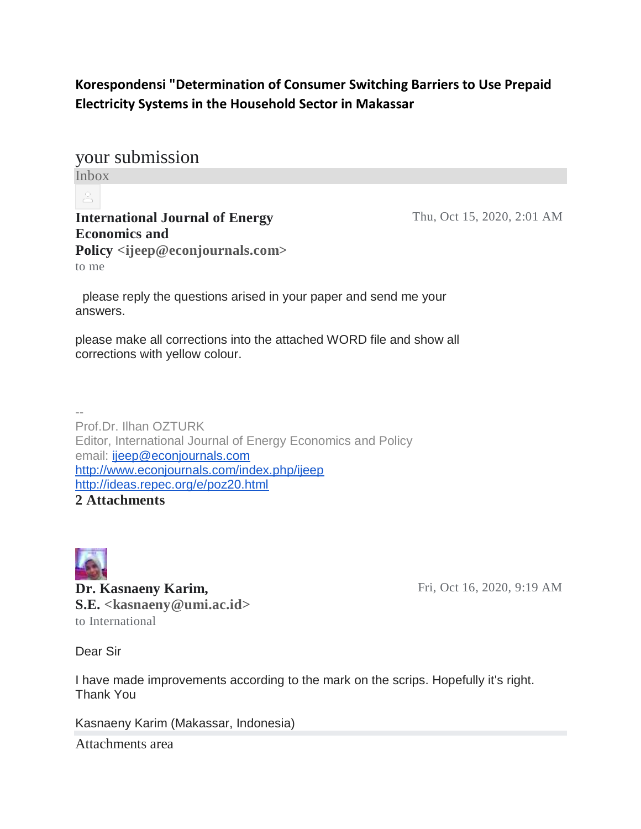## **Korespondensi "Determination of Consumer Switching Barriers to Use Prepaid Electricity Systems in the Household Sector in Makassar**

your submission Inbox

### **International Journal of Energy Economics and**

Thu, Oct 15, 2020, 2:01 AM

**Policy <ijeep@econjournals.com>** to me

please reply the questions arised in your paper and send me your answers.

please make all corrections into the attached WORD file and show all corrections with yellow colour.

-- Prof.Dr. Ilhan OZTURK Editor, International Journal of Energy Economics and Policy email: [ijeep@econjournals.com](mailto:ijeep@econjournals.com) <http://www.econjournals.com/index.php/ijeep> <http://ideas.repec.org/e/poz20.html> **2 Attachments**



**Dr. Kasnaeny Karim, S.E. <kasnaeny@umi.ac.id>** to International

Fri, Oct 16, 2020, 9:19 AM

Dear Sir

I have made improvements according to the mark on the scrips. Hopefully it's right. Thank You

Kasnaeny Karim (Makassar, Indonesia)

Attachments area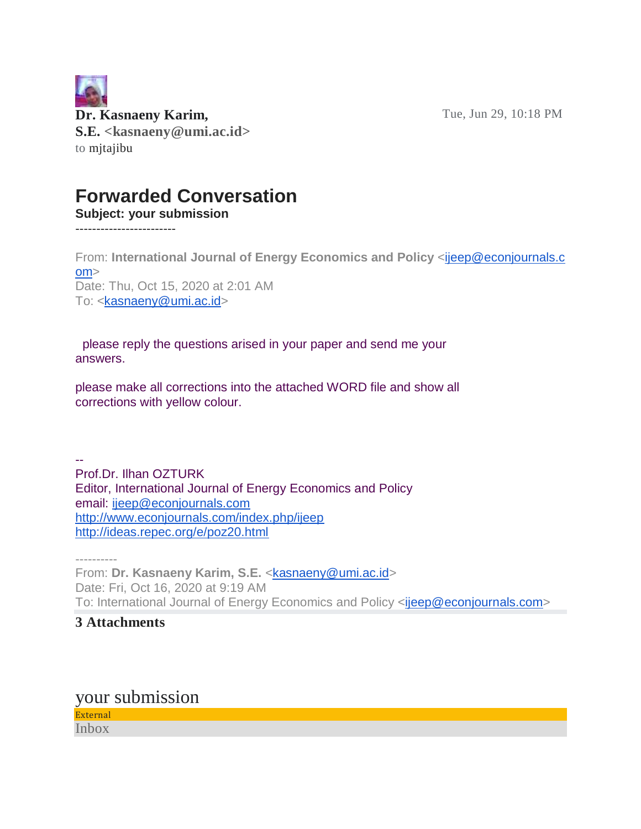Tue, Jun 29, 10:18 PM



## **Forwarded Conversation**

**Subject: your submission**

------------------------

From: **International Journal of Energy Economics and Policy** [<ijeep@econjournals.c](mailto:ijeep@econjournals.com) [om>](mailto:ijeep@econjournals.com) Date: Thu, Oct 15, 2020 at 2:01 AM To: [<kasnaeny@umi.ac.id>](mailto:kasnaeny@umi.ac.id)

please reply the questions arised in your paper and send me your answers.

please make all corrections into the attached WORD file and show all corrections with yellow colour.

-- Prof.Dr. Ilhan OZTURK Editor, International Journal of Energy Economics and Policy email: [ijeep@econjournals.com](mailto:ijeep@econjournals.com) <http://www.econjournals.com/index.php/ijeep> <http://ideas.repec.org/e/poz20.html>

---------- From: **Dr. Kasnaeny Karim, S.E.** [<kasnaeny@umi.ac.id>](mailto:kasnaeny@umi.ac.id) Date: Fri, Oct 16, 2020 at 9:19 AM To: International Journal of Energy Economics and Policy [<ijeep@econjournals.com>](mailto:ijeep@econjournals.com)

#### **3 Attachments**

your submission

External Inbox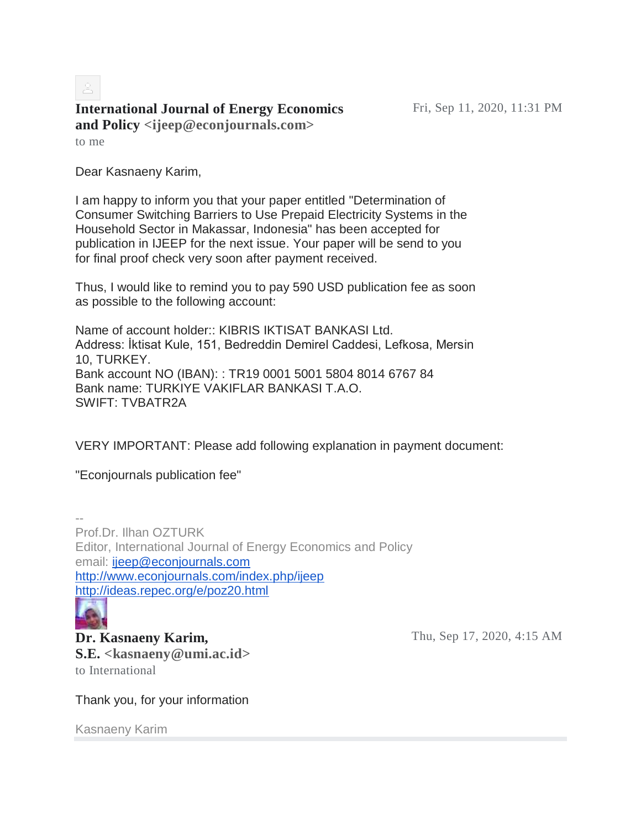# **International Journal of Energy Economics and Policy <ijeep@econjournals.com>**

to me

Dear Kasnaeny Karim,

I am happy to inform you that your paper entitled "Determination of Consumer Switching Barriers to Use Prepaid Electricity Systems in the Household Sector in Makassar, Indonesia" has been accepted for publication in IJEEP for the next issue. Your paper will be send to you for final proof check very soon after payment received.

Thus, I would like to remind you to pay 590 USD publication fee as soon as possible to the following account:

Name of account holder:: KIBRIS IKTISAT BANKASI Ltd. Address: İktisat Kule, 151, Bedreddin Demirel Caddesi, Lefkosa, Mersin 10, TURKEY. Bank account NO (IBAN): : TR19 0001 5001 5804 8014 6767 84 Bank name: TURKIYE VAKIFLAR BANKASI T.A.O. SWIFT: TVBATR2A

VERY IMPORTANT: Please add following explanation in payment document:

"Econjournals publication fee"

-- Prof.Dr. Ilhan OZTURK Editor, International Journal of Energy Economics and Policy email: [ijeep@econjournals.com](mailto:ijeep@econjournals.com) <http://www.econjournals.com/index.php/ijeep> <http://ideas.repec.org/e/poz20.html>

**Dr. Kasnaeny Karim, S.E. <kasnaeny@umi.ac.id>** to International

Thu, Sep 17, 2020, 4:15 AM

Thank you, for your information

Kasnaeny Karim